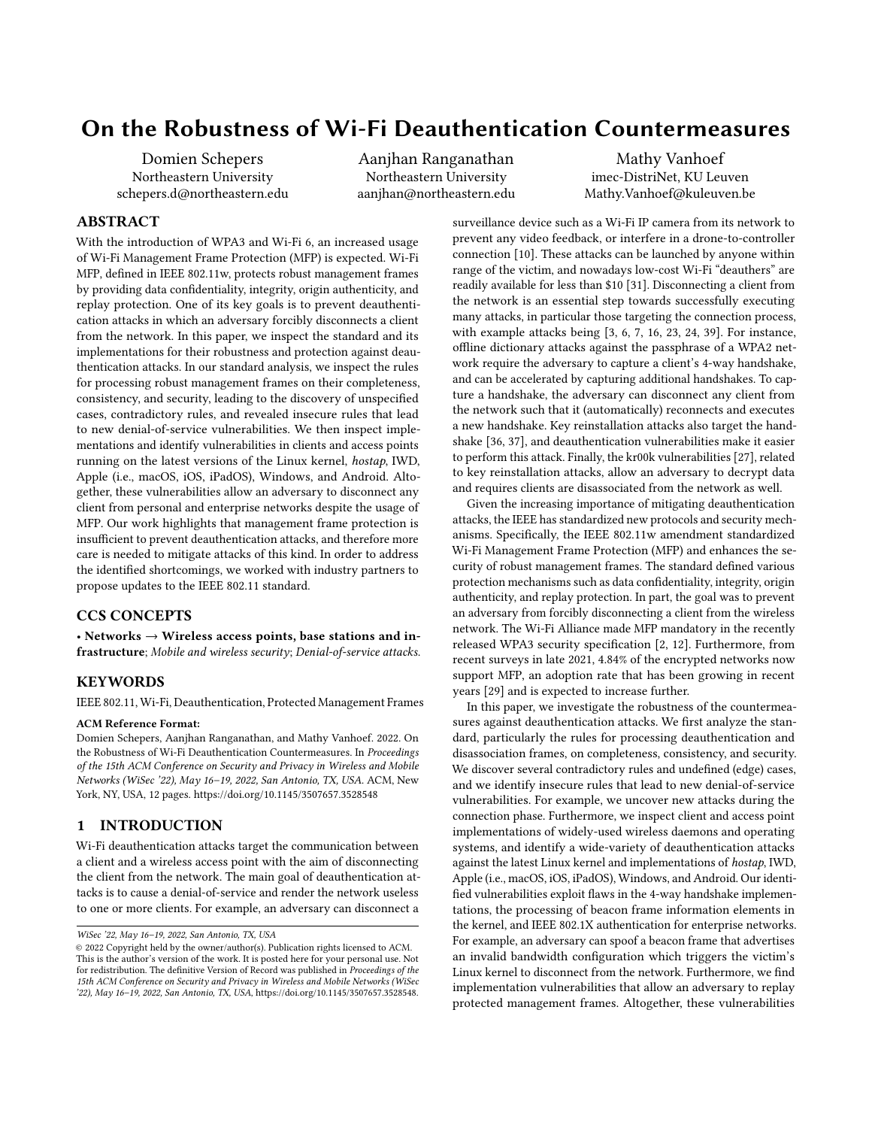# On the Robustness of Wi-Fi Deauthentication Countermeasures

Domien Schepers Northeastern University schepers.d@northeastern.edu Aanjhan Ranganathan Northeastern University aanjhan@northeastern.edu

Mathy Vanhoef imec-DistriNet, KU Leuven Mathy.Vanhoef@kuleuven.be

# ABSTRACT

With the introduction of WPA3 and Wi-Fi 6, an increased usage of Wi-Fi Management Frame Protection (MFP) is expected. Wi-Fi MFP, defined in IEEE 802.11w, protects robust management frames by providing data confidentiality, integrity, origin authenticity, and replay protection. One of its key goals is to prevent deauthentication attacks in which an adversary forcibly disconnects a client from the network. In this paper, we inspect the standard and its implementations for their robustness and protection against deauthentication attacks. In our standard analysis, we inspect the rules for processing robust management frames on their completeness, consistency, and security, leading to the discovery of unspecified cases, contradictory rules, and revealed insecure rules that lead to new denial-of-service vulnerabilities. We then inspect implementations and identify vulnerabilities in clients and access points running on the latest versions of the Linux kernel, hostap, IWD, Apple (i.e., macOS, iOS, iPadOS), Windows, and Android. Altogether, these vulnerabilities allow an adversary to disconnect any client from personal and enterprise networks despite the usage of MFP. Our work highlights that management frame protection is insufficient to prevent deauthentication attacks, and therefore more care is needed to mitigate attacks of this kind. In order to address the identified shortcomings, we worked with industry partners to propose updates to the IEEE 802.11 standard.

## CCS CONCEPTS

• Networks  $\rightarrow$  Wireless access points, base stations and infrastructure; Mobile and wireless security; Denial-of-service attacks.

## **KEYWORDS**

IEEE 802.11, Wi-Fi, Deauthentication, Protected Management Frames

#### ACM Reference Format:

Domien Schepers, Aanjhan Ranganathan, and Mathy Vanhoef. 2022. On the Robustness of Wi-Fi Deauthentication Countermeasures. In Proceedings of the 15th ACM Conference on Security and Privacy in Wireless and Mobile Networks (WiSec '22), May 16–19, 2022, San Antonio, TX, USA. ACM, New York, NY, USA, [12](#page-11-0) pages.<https://doi.org/10.1145/3507657.3528548>

## 1 INTRODUCTION

Wi-Fi deauthentication attacks target the communication between a client and a wireless access point with the aim of disconnecting the client from the network. The main goal of deauthentication attacks is to cause a denial-of-service and render the network useless to one or more clients. For example, an adversary can disconnect a

surveillance device such as a Wi-Fi IP camera from its network to prevent any video feedback, or interfere in a drone-to-controller connection [\[10\]](#page-10-0). These attacks can be launched by anyone within range of the victim, and nowadays low-cost Wi-Fi "deauthers" are readily available for less than \$10 [\[31\]](#page-10-1). Disconnecting a client from the network is an essential step towards successfully executing many attacks, in particular those targeting the connection process, with example attacks being [\[3,](#page-10-2) [6,](#page-10-3) [7,](#page-10-4) [16,](#page-10-5) [23,](#page-10-6) [24,](#page-10-7) [39\]](#page-10-8). For instance, offline dictionary attacks against the passphrase of a WPA2 network require the adversary to capture a client's 4-way handshake, and can be accelerated by capturing additional handshakes. To capture a handshake, the adversary can disconnect any client from the network such that it (automatically) reconnects and executes a new handshake. Key reinstallation attacks also target the handshake [\[36,](#page-10-9) [37\]](#page-10-10), and deauthentication vulnerabilities make it easier to perform this attack. Finally, the kr00k vulnerabilities [\[27\]](#page-10-11), related to key reinstallation attacks, allow an adversary to decrypt data and requires clients are disassociated from the network as well.

Given the increasing importance of mitigating deauthentication attacks, the IEEE has standardized new protocols and security mechanisms. Specifically, the IEEE 802.11w amendment standardized Wi-Fi Management Frame Protection (MFP) and enhances the security of robust management frames. The standard defined various protection mechanisms such as data confidentiality, integrity, origin authenticity, and replay protection. In part, the goal was to prevent an adversary from forcibly disconnecting a client from the wireless network. The Wi-Fi Alliance made MFP mandatory in the recently released WPA3 security specification [\[2,](#page-10-12) [12\]](#page-10-13). Furthermore, from recent surveys in late 2021, 4.84% of the encrypted networks now support MFP, an adoption rate that has been growing in recent years [\[29\]](#page-10-14) and is expected to increase further.

In this paper, we investigate the robustness of the countermeasures against deauthentication attacks. We first analyze the standard, particularly the rules for processing deauthentication and disassociation frames, on completeness, consistency, and security. We discover several contradictory rules and undefined (edge) cases, and we identify insecure rules that lead to new denial-of-service vulnerabilities. For example, we uncover new attacks during the connection phase. Furthermore, we inspect client and access point implementations of widely-used wireless daemons and operating systems, and identify a wide-variety of deauthentication attacks against the latest Linux kernel and implementations of hostap, IWD, Apple (i.e., macOS, iOS, iPadOS), Windows, and Android. Our identified vulnerabilities exploit flaws in the 4-way handshake implementations, the processing of beacon frame information elements in the kernel, and IEEE 802.1X authentication for enterprise networks. For example, an adversary can spoof a beacon frame that advertises an invalid bandwidth configuration which triggers the victim's Linux kernel to disconnect from the network. Furthermore, we find implementation vulnerabilities that allow an adversary to replay protected management frames. Altogether, these vulnerabilities

WiSec '22, May 16–19, 2022, San Antonio, TX, USA

<sup>©</sup> 2022 Copyright held by the owner/author(s). Publication rights licensed to ACM. This is the author's version of the work. It is posted here for your personal use. Not for redistribution. The definitive Version of Record was published in Proceedings of the 15th ACM Conference on Security and Privacy in Wireless and Mobile Networks (WiSec '22), May 16–19, 2022, San Antonio, TX, USA, [https://doi.org/10.1145/3507657.3528548.](https://doi.org/10.1145/3507657.3528548)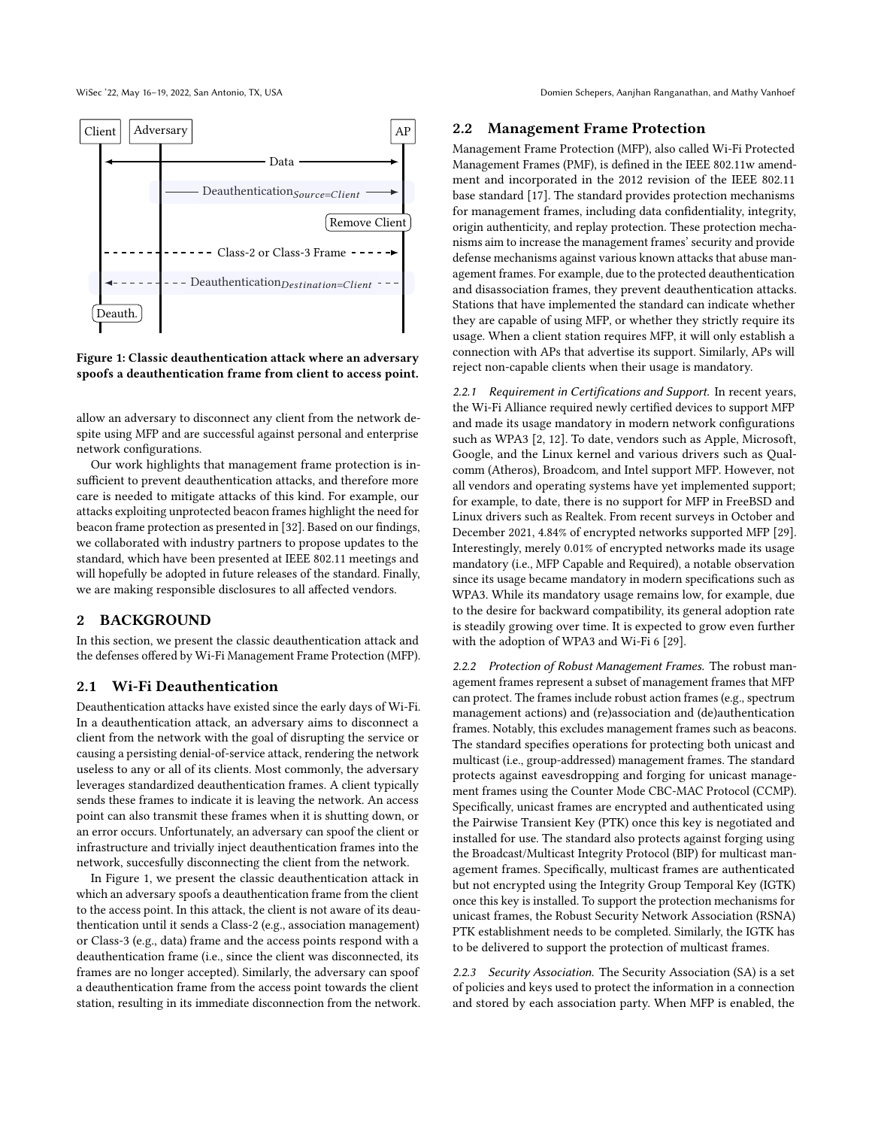WiSec '22, May 16-19, 2022, San Antonio, TX, USA Domien Schepers, Aanjhan Ranganathan, and Mathy Vanhoef

<span id="page-1-0"></span>

Figure 1: Classic deauthentication attack where an adversary spoofs a deauthentication frame from client to access point.

allow an adversary to disconnect any client from the network despite using MFP and are successful against personal and enterprise network configurations.

Our work highlights that management frame protection is insufficient to prevent deauthentication attacks, and therefore more care is needed to mitigate attacks of this kind. For example, our attacks exploiting unprotected beacon frames highlight the need for beacon frame protection as presented in [\[32\]](#page-10-15). Based on our findings, we collaborated with industry partners to propose updates to the standard, which have been presented at IEEE 802.11 meetings and will hopefully be adopted in future releases of the standard. Finally, we are making responsible disclosures to all affected vendors.

## 2 BACKGROUND

In this section, we present the classic deauthentication attack and the defenses offered by Wi-Fi Management Frame Protection (MFP).

#### 2.1 Wi-Fi Deauthentication

Deauthentication attacks have existed since the early days of Wi-Fi. In a deauthentication attack, an adversary aims to disconnect a client from the network with the goal of disrupting the service or causing a persisting denial-of-service attack, rendering the network useless to any or all of its clients. Most commonly, the adversary leverages standardized deauthentication frames. A client typically sends these frames to indicate it is leaving the network. An access point can also transmit these frames when it is shutting down, or an error occurs. Unfortunately, an adversary can spoof the client or infrastructure and trivially inject deauthentication frames into the network, succesfully disconnecting the client from the network.

In Figure [1,](#page-1-0) we present the classic deauthentication attack in which an adversary spoofs a deauthentication frame from the client to the access point. In this attack, the client is not aware of its deauthentication until it sends a Class-2 (e.g., association management) or Class-3 (e.g., data) frame and the access points respond with a deauthentication frame (i.e., since the client was disconnected, its frames are no longer accepted). Similarly, the adversary can spoof a deauthentication frame from the access point towards the client station, resulting in its immediate disconnection from the network.

#### <span id="page-1-2"></span>2.2 Management Frame Protection

Management Frame Protection (MFP), also called Wi-Fi Protected Management Frames (PMF), is defined in the IEEE 802.11w amendment and incorporated in the 2012 revision of the IEEE 802.11 base standard [\[17\]](#page-10-16). The standard provides protection mechanisms for management frames, including data confidentiality, integrity, origin authenticity, and replay protection. These protection mechanisms aim to increase the management frames' security and provide defense mechanisms against various known attacks that abuse management frames. For example, due to the protected deauthentication and disassociation frames, they prevent deauthentication attacks. Stations that have implemented the standard can indicate whether they are capable of using MFP, or whether they strictly require its usage. When a client station requires MFP, it will only establish a connection with APs that advertise its support. Similarly, APs will reject non-capable clients when their usage is mandatory.

2.2.1 Requirement in Certifications and Support. In recent years, the Wi-Fi Alliance required newly certified devices to support MFP and made its usage mandatory in modern network configurations such as WPA3 [\[2,](#page-10-12) [12\]](#page-10-13). To date, vendors such as Apple, Microsoft, Google, and the Linux kernel and various drivers such as Qualcomm (Atheros), Broadcom, and Intel support MFP. However, not all vendors and operating systems have yet implemented support; for example, to date, there is no support for MFP in FreeBSD and Linux drivers such as Realtek. From recent surveys in October and December 2021, 4.84% of encrypted networks supported MFP [\[29\]](#page-10-14). Interestingly, merely 0.01% of encrypted networks made its usage mandatory (i.e., MFP Capable and Required), a notable observation since its usage became mandatory in modern specifications such as WPA3. While its mandatory usage remains low, for example, due to the desire for backward compatibility, its general adoption rate is steadily growing over time. It is expected to grow even further with the adoption of WPA3 and Wi-Fi 6 [\[29\]](#page-10-14).

<span id="page-1-1"></span>2.2.2 Protection of Robust Management Frames. The robust management frames represent a subset of management frames that MFP can protect. The frames include robust action frames (e.g., spectrum management actions) and (re)association and (de)authentication frames. Notably, this excludes management frames such as beacons. The standard specifies operations for protecting both unicast and multicast (i.e., group-addressed) management frames. The standard protects against eavesdropping and forging for unicast management frames using the Counter Mode CBC-MAC Protocol (CCMP). Specifically, unicast frames are encrypted and authenticated using the Pairwise Transient Key (PTK) once this key is negotiated and installed for use. The standard also protects against forging using the Broadcast/Multicast Integrity Protocol (BIP) for multicast management frames. Specifically, multicast frames are authenticated but not encrypted using the Integrity Group Temporal Key (IGTK) once this key is installed. To support the protection mechanisms for unicast frames, the Robust Security Network Association (RSNA) PTK establishment needs to be completed. Similarly, the IGTK has to be delivered to support the protection of multicast frames.

2.2.3 Security Association. The Security Association (SA) is a set of policies and keys used to protect the information in a connection and stored by each association party. When MFP is enabled, the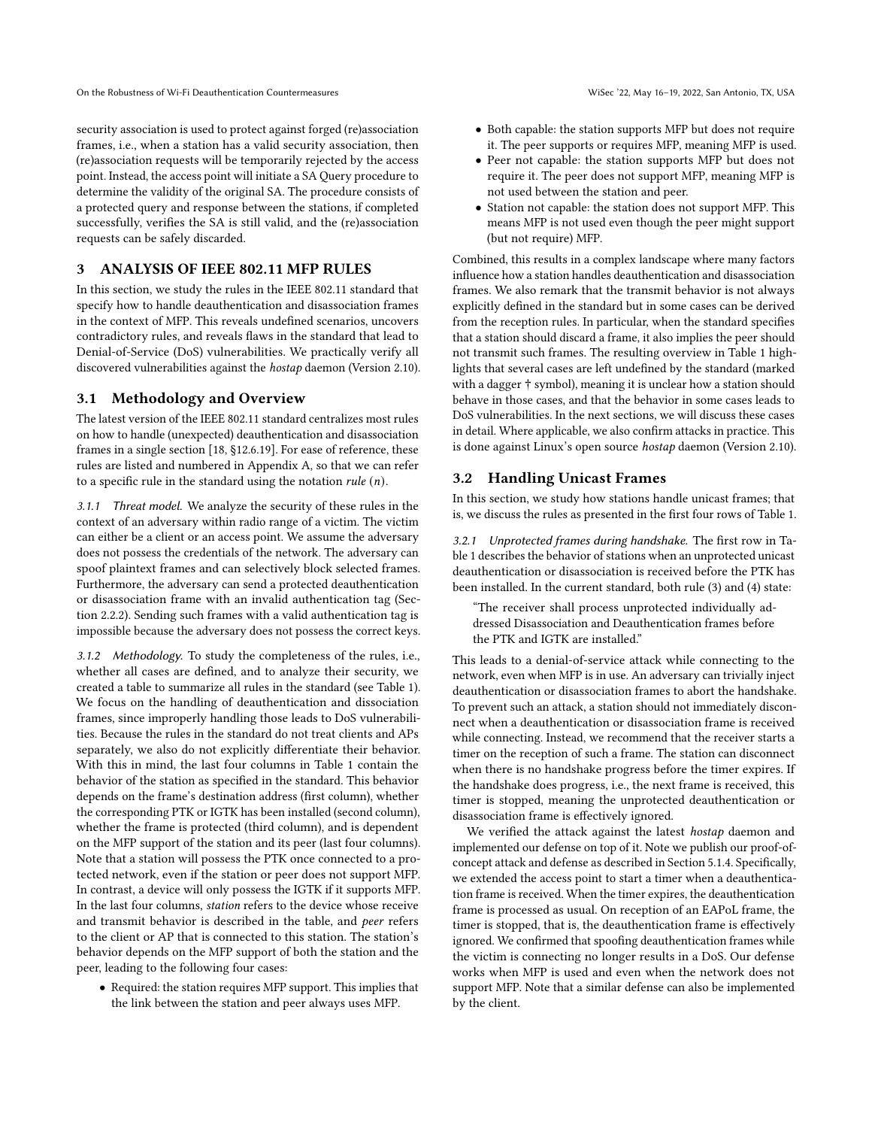security association is used to protect against forged (re)association frames, i.e., when a station has a valid security association, then (re)association requests will be temporarily rejected by the access point. Instead, the access point will initiate a SA Query procedure to determine the validity of the original SA. The procedure consists of a protected query and response between the stations, if completed successfully, verifies the SA is still valid, and the (re)association requests can be safely discarded.

#### <span id="page-2-1"></span>3 ANALYSIS OF IEEE 802.11 MFP RULES

In this section, we study the rules in the IEEE 802.11 standard that specify how to handle deauthentication and disassociation frames in the context of MFP. This reveals undefined scenarios, uncovers contradictory rules, and reveals flaws in the standard that lead to Denial-of-Service (DoS) vulnerabilities. We practically verify all discovered vulnerabilities against the hostap daemon (Version 2.10).

# <span id="page-2-0"></span>3.1 Methodology and Overview

The latest version of the IEEE 802.11 standard centralizes most rules on how to handle (unexpected) deauthentication and disassociation frames in a single section [\[18,](#page-10-17) §12.6.19]. For ease of reference, these rules are listed and numbered in Appendix [A,](#page-10-18) so that we can refer to a specific rule in the standard using the notation *rule*  $(n)$ .

3.1.1 Threat model. We analyze the security of these rules in the context of an adversary within radio range of a victim. The victim can either be a client or an access point. We assume the adversary does not possess the credentials of the network. The adversary can spoof plaintext frames and can selectively block selected frames. Furthermore, the adversary can send a protected deauthentication or disassociation frame with an invalid authentication tag (Section [2.2.2\)](#page-1-1). Sending such frames with a valid authentication tag is impossible because the adversary does not possess the correct keys.

3.1.2 Methodology. To study the completeness of the rules, i.e., whether all cases are defined, and to analyze their security, we created a table to summarize all rules in the standard (see Table [1\)](#page-3-0). We focus on the handling of deauthentication and dissociation frames, since improperly handling those leads to DoS vulnerabilities. Because the rules in the standard do not treat clients and APs separately, we also do not explicitly differentiate their behavior. With this in mind, the last four columns in Table [1](#page-3-0) contain the behavior of the station as specified in the standard. This behavior depends on the frame's destination address (first column), whether the corresponding PTK or IGTK has been installed (second column), whether the frame is protected (third column), and is dependent on the MFP support of the station and its peer (last four columns). Note that a station will possess the PTK once connected to a protected network, even if the station or peer does not support MFP. In contrast, a device will only possess the IGTK if it supports MFP. In the last four columns, station refers to the device whose receive and transmit behavior is described in the table, and peer refers to the client or AP that is connected to this station. The station's behavior depends on the MFP support of both the station and the peer, leading to the following four cases:

• Required: the station requires MFP support. This implies that the link between the station and peer always uses MFP.

- Both capable: the station supports MFP but does not require it. The peer supports or requires MFP, meaning MFP is used.
- Peer not capable: the station supports MFP but does not require it. The peer does not support MFP, meaning MFP is not used between the station and peer.
- Station not capable: the station does not support MFP. This means MFP is not used even though the peer might support (but not require) MFP.

Combined, this results in a complex landscape where many factors influence how a station handles deauthentication and disassociation frames. We also remark that the transmit behavior is not always explicitly defined in the standard but in some cases can be derived from the reception rules. In particular, when the standard specifies that a station should discard a frame, it also implies the peer should not transmit such frames. The resulting overview in Table [1](#page-3-0) highlights that several cases are left undefined by the standard (marked with a dagger † symbol), meaning it is unclear how a station should behave in those cases, and that the behavior in some cases leads to DoS vulnerabilities. In the next sections, we will discuss these cases in detail. Where applicable, we also confirm attacks in practice. This is done against Linux's open source hostap daemon (Version 2.10).

#### 3.2 Handling Unicast Frames

In this section, we study how stations handle unicast frames; that is, we discuss the rules as presented in the first four rows of Table [1.](#page-3-0)

3.2.1 Unprotected frames during handshake. The first row in Table [1](#page-3-0) describes the behavior of stations when an unprotected unicast deauthentication or disassociation is received before the PTK has been installed. In the current standard, both rule [\(3\)](#page-11-1) and [\(4\)](#page-11-2) state:

"The receiver shall process unprotected individually addressed Disassociation and Deauthentication frames before the PTK and IGTK are installed."

This leads to a denial-of-service attack while connecting to the network, even when MFP is in use. An adversary can trivially inject deauthentication or disassociation frames to abort the handshake. To prevent such an attack, a station should not immediately disconnect when a deauthentication or disassociation frame is received while connecting. Instead, we recommend that the receiver starts a timer on the reception of such a frame. The station can disconnect when there is no handshake progress before the timer expires. If the handshake does progress, i.e., the next frame is received, this timer is stopped, meaning the unprotected deauthentication or disassociation frame is effectively ignored.

We verified the attack against the latest hostap daemon and implemented our defense on top of it. Note we publish our proof-ofconcept attack and defense as described in Section [5.1.4.](#page-8-0) Specifically, we extended the access point to start a timer when a deauthentication frame is received. When the timer expires, the deauthentication frame is processed as usual. On reception of an EAPoL frame, the timer is stopped, that is, the deauthentication frame is effectively ignored. We confirmed that spoofing deauthentication frames while the victim is connecting no longer results in a DoS. Our defense works when MFP is used and even when the network does not support MFP. Note that a similar defense can also be implemented by the client.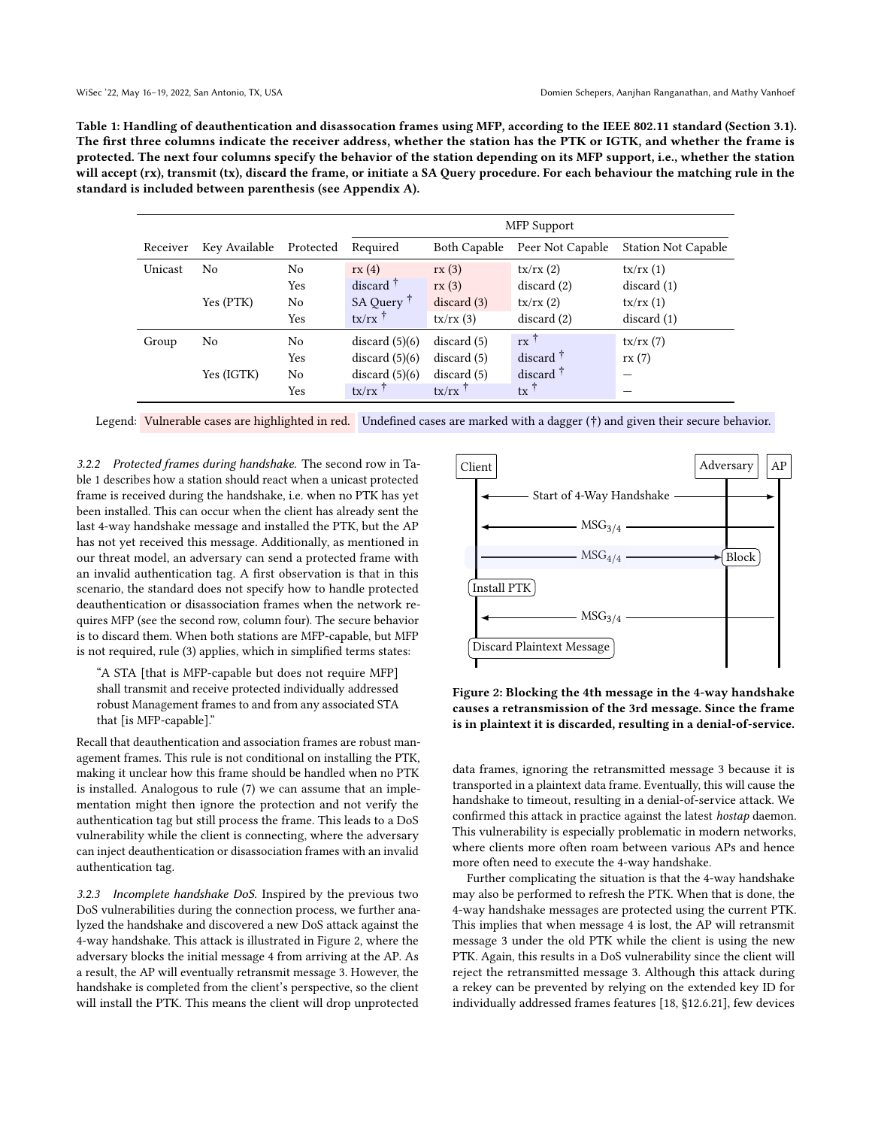<span id="page-3-0"></span>Table 1: Handling of deauthentication and disassocation frames using MFP, according to the IEEE 802.11 standard (Section [3.1\)](#page-2-0). The first three columns indicate the receiver address, whether the station has the PTK or IGTK, and whether the frame is protected. The next four columns specify the behavior of the station depending on its MFP support, i.e., whether the station will accept (rx), transmit (tx), discard the frame, or initiate a SA Query procedure. For each behaviour the matching rule in the standard is included between parenthesis (see Appendix [A\)](#page-10-18).

|          |               |           | <b>MFP</b> Support    |              |                   |                            |  |  |  |  |
|----------|---------------|-----------|-----------------------|--------------|-------------------|----------------------------|--|--|--|--|
| Receiver | Key Available | Protected | Required              | Both Capable | Peer Not Capable  | <b>Station Not Capable</b> |  |  |  |  |
| Unicast  | No            | No        | rx(4)                 | rx(3)        | tx/rx(2)          | tx/rx(1)                   |  |  |  |  |
|          |               | Yes       | discard $\ddagger$    | rx(3)        | discard(2)        | discard(1)                 |  |  |  |  |
|          | Yes (PTK)     | No        | SA Query <sup>T</sup> | discard(3)   | tx/rx(2)          | tx/rx(1)                   |  |  |  |  |
|          |               | Yes       | $tx/rx$ <sup>†</sup>  | tx/rx(3)     | discard(2)        | discard(1)                 |  |  |  |  |
| Group    | No            | No        | discard $(5)(6)$      | discard(5)   | $rx^{\dagger}$    | tx/rx(7)                   |  |  |  |  |
|          |               | Yes       | discard $(5)(6)$      | discard(5)   | discard $\bar{1}$ | rx(7)                      |  |  |  |  |
|          | Yes (IGTK)    | No        | discard $(5)(6)$      | discard(5)   | discard $\dagger$ |                            |  |  |  |  |
|          |               | Yes       | $tx/rx$ <sup>†</sup>  | tx/rx        | $tx^{\dagger}$    |                            |  |  |  |  |

Legend: Vulnerable cases are highlighted in red. Undefined cases are marked with a dagger (†) and given their secure behavior.

3.2.2 Protected frames during handshake. The second row in Table [1](#page-3-0) describes how a station should react when a unicast protected frame is received during the handshake, i.e. when no PTK has yet been installed. This can occur when the client has already sent the last 4-way handshake message and installed the PTK, but the AP has not yet received this message. Additionally, as mentioned in our threat model, an adversary can send a protected frame with an invalid authentication tag. A first observation is that in this scenario, the standard does not specify how to handle protected deauthentication or disassociation frames when the network requires MFP (see the second row, column four). The secure behavior is to discard them. When both stations are MFP-capable, but MFP is not required, rule [\(3\)](#page-11-1) applies, which in simplified terms states:

"A STA [that is MFP-capable but does not require MFP] shall transmit and receive protected individually addressed robust Management frames to and from any associated STA that [is MFP-capable]."

Recall that deauthentication and association frames are robust management frames. This rule is not conditional on installing the PTK, making it unclear how this frame should be handled when no PTK is installed. Analogous to rule [\(7\)](#page-11-5) we can assume that an implementation might then ignore the protection and not verify the authentication tag but still process the frame. This leads to a DoS vulnerability while the client is connecting, where the adversary can inject deauthentication or disassociation frames with an invalid authentication tag.

<span id="page-3-2"></span>3.2.3 Incomplete handshake DoS. Inspired by the previous two DoS vulnerabilities during the connection process, we further analyzed the handshake and discovered a new DoS attack against the 4-way handshake. This attack is illustrated in Figure [2,](#page-3-1) where the adversary blocks the initial message 4 from arriving at the AP. As a result, the AP will eventually retransmit message 3. However, the handshake is completed from the client's perspective, so the client will install the PTK. This means the client will drop unprotected

<span id="page-3-1"></span>

Figure 2: Blocking the 4th message in the 4-way handshake causes a retransmission of the 3rd message. Since the frame is in plaintext it is discarded, resulting in a denial-of-service.

data frames, ignoring the retransmitted message 3 because it is transported in a plaintext data frame. Eventually, this will cause the handshake to timeout, resulting in a denial-of-service attack. We confirmed this attack in practice against the latest hostap daemon. This vulnerability is especially problematic in modern networks, where clients more often roam between various APs and hence more often need to execute the 4-way handshake.

Further complicating the situation is that the 4-way handshake may also be performed to refresh the PTK. When that is done, the 4-way handshake messages are protected using the current PTK. This implies that when message 4 is lost, the AP will retransmit message 3 under the old PTK while the client is using the new PTK. Again, this results in a DoS vulnerability since the client will reject the retransmitted message 3. Although this attack during a rekey can be prevented by relying on the extended key ID for individually addressed frames features [\[18,](#page-10-17) §12.6.21], few devices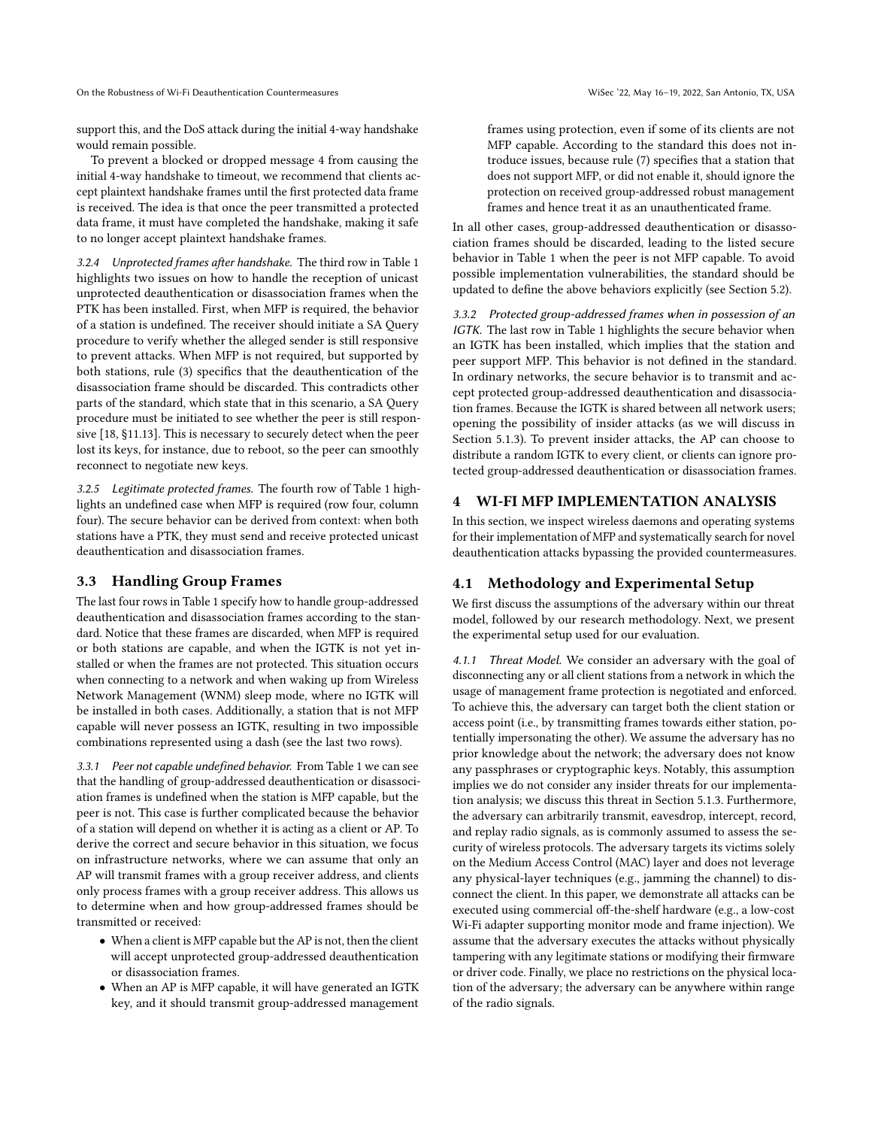support this, and the DoS attack during the initial 4-way handshake would remain possible.

To prevent a blocked or dropped message 4 from causing the initial 4-way handshake to timeout, we recommend that clients accept plaintext handshake frames until the first protected data frame is received. The idea is that once the peer transmitted a protected data frame, it must have completed the handshake, making it safe to no longer accept plaintext handshake frames.

3.2.4 Unprotected frames after handshake. The third row in Table [1](#page-3-0) highlights two issues on how to handle the reception of unicast unprotected deauthentication or disassociation frames when the PTK has been installed. First, when MFP is required, the behavior of a station is undefined. The receiver should initiate a SA Query procedure to verify whether the alleged sender is still responsive to prevent attacks. When MFP is not required, but supported by both stations, rule [\(3\)](#page-11-1) specifics that the deauthentication of the disassociation frame should be discarded. This contradicts other parts of the standard, which state that in this scenario, a SA Query procedure must be initiated to see whether the peer is still responsive [\[18,](#page-10-17) §11.13]. This is necessary to securely detect when the peer lost its keys, for instance, due to reboot, so the peer can smoothly reconnect to negotiate new keys.

3.2.5 Legitimate protected frames. The fourth row of Table [1](#page-3-0) highlights an undefined case when MFP is required (row four, column four). The secure behavior can be derived from context: when both stations have a PTK, they must send and receive protected unicast deauthentication and disassociation frames.

#### 3.3 Handling Group Frames

The last four rows in Table [1](#page-3-0) specify how to handle group-addressed deauthentication and disassociation frames according to the standard. Notice that these frames are discarded, when MFP is required or both stations are capable, and when the IGTK is not yet installed or when the frames are not protected. This situation occurs when connecting to a network and when waking up from Wireless Network Management (WNM) sleep mode, where no IGTK will be installed in both cases. Additionally, a station that is not MFP capable will never possess an IGTK, resulting in two impossible combinations represented using a dash (see the last two rows).

3.3.1 Peer not capable undefined behavior. From Table [1](#page-3-0) we can see that the handling of group-addressed deauthentication or disassociation frames is undefined when the station is MFP capable, but the peer is not. This case is further complicated because the behavior of a station will depend on whether it is acting as a client or AP. To derive the correct and secure behavior in this situation, we focus on infrastructure networks, where we can assume that only an AP will transmit frames with a group receiver address, and clients only process frames with a group receiver address. This allows us to determine when and how group-addressed frames should be transmitted or received:

- When a client is MFP capable but the AP is not, then the client will accept unprotected group-addressed deauthentication or disassociation frames.
- When an AP is MFP capable, it will have generated an IGTK key, and it should transmit group-addressed management

frames using protection, even if some of its clients are not MFP capable. According to the standard this does not introduce issues, because rule [\(7\)](#page-11-5) specifies that a station that does not support MFP, or did not enable it, should ignore the protection on received group-addressed robust management frames and hence treat it as an unauthenticated frame.

In all other cases, group-addressed deauthentication or disassociation frames should be discarded, leading to the listed secure behavior in Table [1](#page-3-0) when the peer is not MFP capable. To avoid possible implementation vulnerabilities, the standard should be updated to define the above behaviors explicitly (see Section [5.2\)](#page-9-0).

3.3.2 Protected group-addressed frames when in possession of an IGTK. The last row in Table [1](#page-3-0) highlights the secure behavior when an IGTK has been installed, which implies that the station and peer support MFP. This behavior is not defined in the standard. In ordinary networks, the secure behavior is to transmit and accept protected group-addressed deauthentication and disassociation frames. Because the IGTK is shared between all network users; opening the possibility of insider attacks (as we will discuss in Section [5.1.3\)](#page-8-1). To prevent insider attacks, the AP can choose to distribute a random IGTK to every client, or clients can ignore protected group-addressed deauthentication or disassociation frames.

## <span id="page-4-1"></span>4 WI-FI MFP IMPLEMENTATION ANALYSIS

In this section, we inspect wireless daemons and operating systems for their implementation of MFP and systematically search for novel deauthentication attacks bypassing the provided countermeasures.

## 4.1 Methodology and Experimental Setup

We first discuss the assumptions of the adversary within our threat model, followed by our research methodology. Next, we present the experimental setup used for our evaluation.

<span id="page-4-0"></span>4.1.1 Threat Model. We consider an adversary with the goal of disconnecting any or all client stations from a network in which the usage of management frame protection is negotiated and enforced. To achieve this, the adversary can target both the client station or access point (i.e., by transmitting frames towards either station, potentially impersonating the other). We assume the adversary has no prior knowledge about the network; the adversary does not know any passphrases or cryptographic keys. Notably, this assumption implies we do not consider any insider threats for our implementation analysis; we discuss this threat in Section [5.1.3.](#page-8-1) Furthermore, the adversary can arbitrarily transmit, eavesdrop, intercept, record, and replay radio signals, as is commonly assumed to assess the security of wireless protocols. The adversary targets its victims solely on the Medium Access Control (MAC) layer and does not leverage any physical-layer techniques (e.g., jamming the channel) to disconnect the client. In this paper, we demonstrate all attacks can be executed using commercial off-the-shelf hardware (e.g., a low-cost Wi-Fi adapter supporting monitor mode and frame injection). We assume that the adversary executes the attacks without physically tampering with any legitimate stations or modifying their firmware or driver code. Finally, we place no restrictions on the physical location of the adversary; the adversary can be anywhere within range of the radio signals.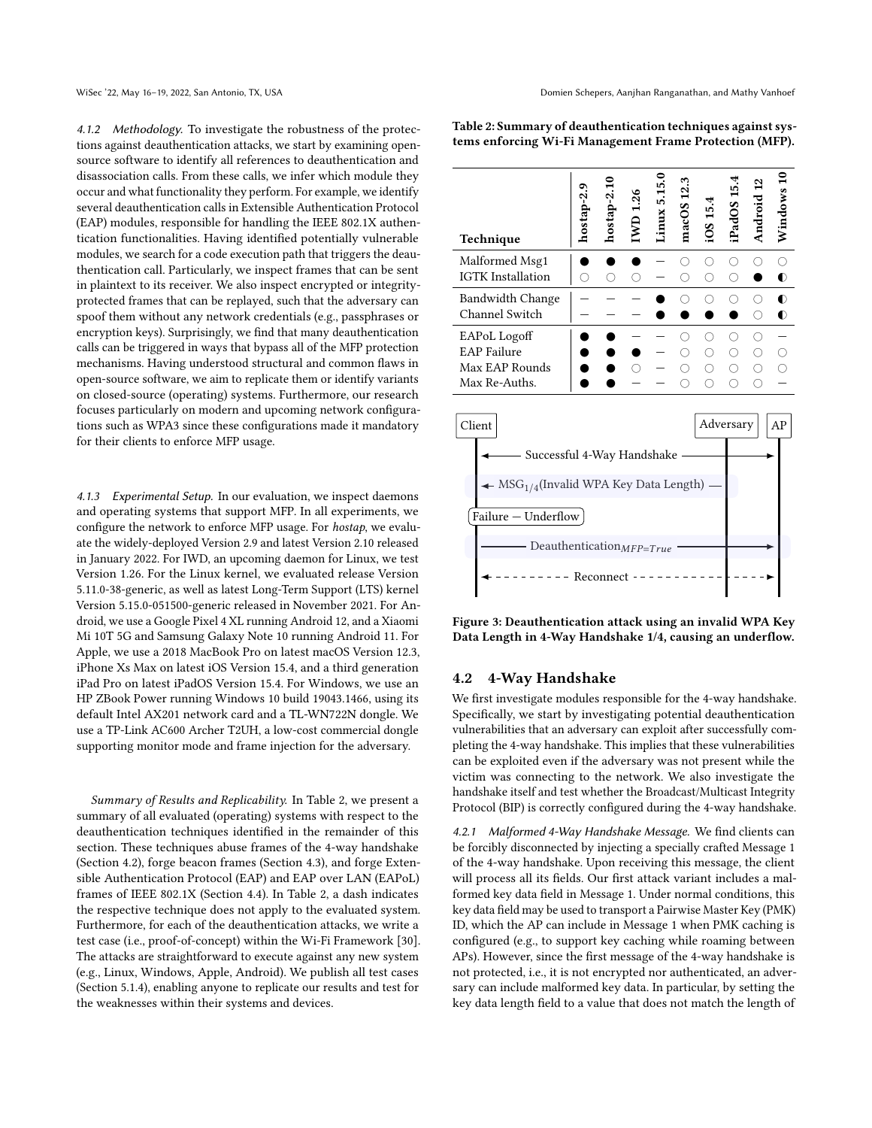4.1.2 Methodology. To investigate the robustness of the protections against deauthentication attacks, we start by examining opensource software to identify all references to deauthentication and disassociation calls. From these calls, we infer which module they occur and what functionality they perform. For example, we identify several deauthentication calls in Extensible Authentication Protocol (EAP) modules, responsible for handling the IEEE 802.1X authentication functionalities. Having identified potentially vulnerable modules, we search for a code execution path that triggers the deauthentication call. Particularly, we inspect frames that can be sent in plaintext to its receiver. We also inspect encrypted or integrityprotected frames that can be replayed, such that the adversary can spoof them without any network credentials (e.g., passphrases or encryption keys). Surprisingly, we find that many deauthentication calls can be triggered in ways that bypass all of the MFP protection mechanisms. Having understood structural and common flaws in open-source software, we aim to replicate them or identify variants on closed-source (operating) systems. Furthermore, our research focuses particularly on modern and upcoming network configurations such as WPA3 since these configurations made it mandatory for their clients to enforce MFP usage.

4.1.3 Experimental Setup. In our evaluation, we inspect daemons and operating systems that support MFP. In all experiments, we configure the network to enforce MFP usage. For hostap, we evaluate the widely-deployed Version 2.9 and latest Version 2.10 released in January 2022. For IWD, an upcoming daemon for Linux, we test Version 1.26. For the Linux kernel, we evaluated release Version 5.11.0-38-generic, as well as latest Long-Term Support (LTS) kernel Version 5.15.0-051500-generic released in November 2021. For Android, we use a Google Pixel 4 XL running Android 12, and a Xiaomi Mi 10T 5G and Samsung Galaxy Note 10 running Android 11. For Apple, we use a 2018 MacBook Pro on latest macOS Version 12.3, iPhone Xs Max on latest iOS Version 15.4, and a third generation iPad Pro on latest iPadOS Version 15.4. For Windows, we use an HP ZBook Power running Windows 10 build 19043.1466, using its default Intel AX201 network card and a TL-WN722N dongle. We use a TP-Link AC600 Archer T2UH, a low-cost commercial dongle supporting monitor mode and frame injection for the adversary.

Summary of Results and Replicability. In Table [2,](#page-5-0) we present a summary of all evaluated (operating) systems with respect to the deauthentication techniques identified in the remainder of this section. These techniques abuse frames of the 4-way handshake (Section [4.2\)](#page-5-1), forge beacon frames (Section [4.3\)](#page-6-0), and forge Extensible Authentication Protocol (EAP) and EAP over LAN (EAPoL) frames of IEEE 802.1X (Section [4.4\)](#page-7-0). In Table [2,](#page-5-0) a dash indicates the respective technique does not apply to the evaluated system. Furthermore, for each of the deauthentication attacks, we write a test case (i.e., proof-of-concept) within the Wi-Fi Framework [\[30\]](#page-10-21). The attacks are straightforward to execute against any new system (e.g., Linux, Windows, Apple, Android). We publish all test cases (Section [5.1.4\)](#page-8-0), enabling anyone to replicate our results and test for the weaknesses within their systems and devices.

<span id="page-5-0"></span>Table 2: Summary of deauthentication techniques against systems enforcing Wi-Fi Management Frame Protection (MFP).

| Technique                                                                                                                                                                                         | hostap-2.9 | $hostap-2.10$ | IWD 1.26 | Linux 5.15.0 | macOS 12.3    | iOS 15.4             | iPadOS 15.4 | Android 12         | Windows 10             |  |
|---------------------------------------------------------------------------------------------------------------------------------------------------------------------------------------------------|------------|---------------|----------|--------------|---------------|----------------------|-------------|--------------------|------------------------|--|
| Malformed Msg1<br><b>IGTK</b> Installation                                                                                                                                                        |            |               |          |              | ∩             | ∩<br>Ω               | 0<br>Ω      | ∩                  | ◐                      |  |
| <b>Bandwidth Change</b><br>Channel Switch                                                                                                                                                         |            |               |          |              |               | ∩                    | ∩           | ∩<br>∩             | $\bullet$<br>$\bullet$ |  |
| EAPoL Logoff<br><b>EAP Failure</b><br>Max EAP Rounds<br>Max Re-Auths.                                                                                                                             |            |               |          |              | ( )<br>∩<br>⊖ | ∩<br>$\bigcirc$<br>∩ | Ω<br>0<br>Ω | ∩<br>O<br>0<br>( ) | ∩                      |  |
| Adversary<br>Client<br>AP<br>Successful 4-Way Handshake<br>$\leftarrow \text{MSG}_{1/4}(\text{Invalid WPA Key Data Length})$ .<br>Failure - Underflow<br>Deauthentication $MFP=True$<br>Reconnect |            |               |          |              |               |                      |             |                    |                        |  |

<span id="page-5-2"></span>Figure 3: Deauthentication attack using an invalid WPA Key Data Length in 4-Way Handshake 1/4, causing an underflow.

#### <span id="page-5-1"></span>4.2 4-Way Handshake

We first investigate modules responsible for the 4-way handshake. Specifically, we start by investigating potential deauthentication vulnerabilities that an adversary can exploit after successfully completing the 4-way handshake. This implies that these vulnerabilities can be exploited even if the adversary was not present while the victim was connecting to the network. We also investigate the handshake itself and test whether the Broadcast/Multicast Integrity Protocol (BIP) is correctly configured during the 4-way handshake.

<span id="page-5-3"></span>4.2.1 Malformed 4-Way Handshake Message. We find clients can be forcibly disconnected by injecting a specially crafted Message 1 of the 4-way handshake. Upon receiving this message, the client will process all its fields. Our first attack variant includes a malformed key data field in Message 1. Under normal conditions, this key data field may be used to transport a Pairwise Master Key (PMK) ID, which the AP can include in Message 1 when PMK caching is configured (e.g., to support key caching while roaming between APs). However, since the first message of the 4-way handshake is not protected, i.e., it is not encrypted nor authenticated, an adversary can include malformed key data. In particular, by setting the key data length field to a value that does not match the length of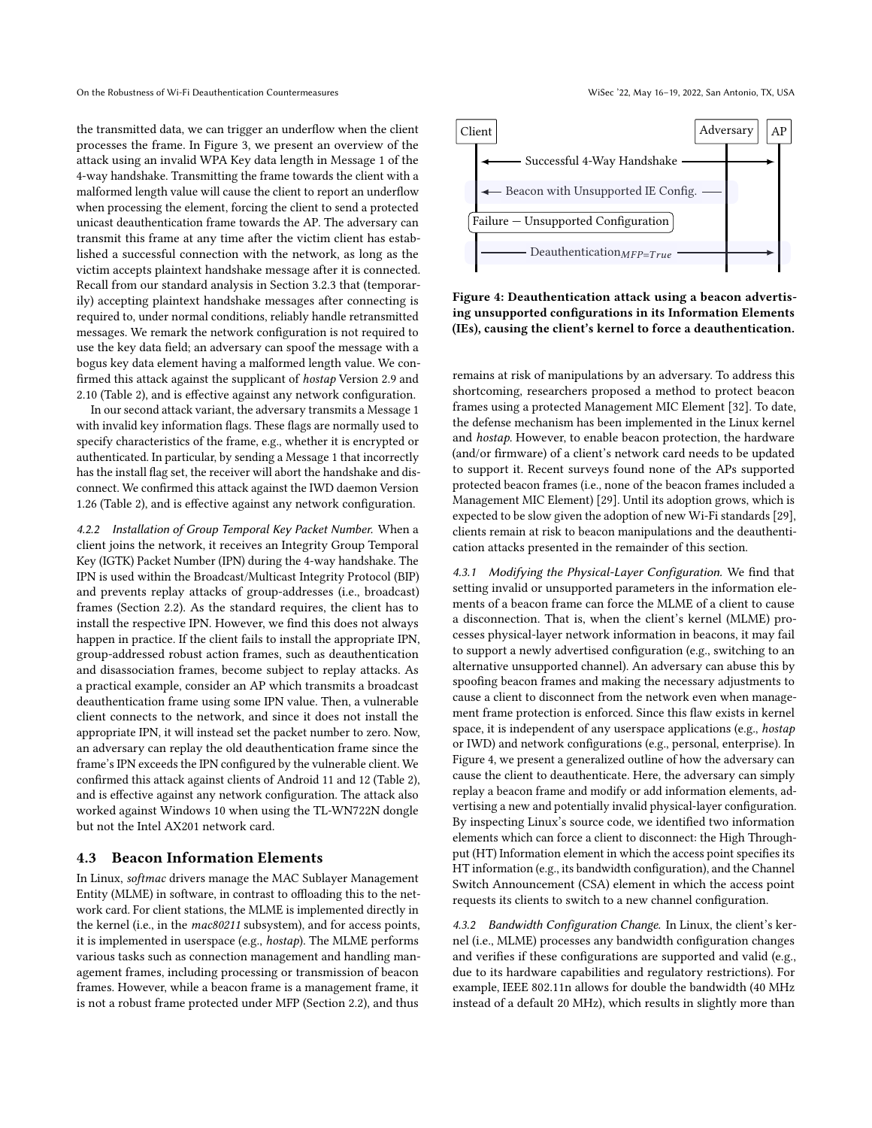On the Robustness of Wi-Fi Deauthentication Countermeasures Wisec '22, May 16–19, 2022, San Antonio, TX, USA

the transmitted data, we can trigger an underflow when the client processes the frame. In Figure [3,](#page-5-2) we present an overview of the attack using an invalid WPA Key data length in Message 1 of the 4-way handshake. Transmitting the frame towards the client with a malformed length value will cause the client to report an underflow when processing the element, forcing the client to send a protected unicast deauthentication frame towards the AP. The adversary can transmit this frame at any time after the victim client has established a successful connection with the network, as long as the victim accepts plaintext handshake message after it is connected. Recall from our standard analysis in Section [3.2.3](#page-3-2) that (temporarily) accepting plaintext handshake messages after connecting is required to, under normal conditions, reliably handle retransmitted messages. We remark the network configuration is not required to use the key data field; an adversary can spoof the message with a bogus key data element having a malformed length value. We confirmed this attack against the supplicant of hostap Version 2.9 and 2.10 (Table [2\)](#page-5-0), and is effective against any network configuration.

In our second attack variant, the adversary transmits a Message 1 with invalid key information flags. These flags are normally used to specify characteristics of the frame, e.g., whether it is encrypted or authenticated. In particular, by sending a Message 1 that incorrectly has the install flag set, the receiver will abort the handshake and disconnect. We confirmed this attack against the IWD daemon Version 1.26 (Table [2\)](#page-5-0), and is effective against any network configuration.

4.2.2 Installation of Group Temporal Key Packet Number. When a client joins the network, it receives an Integrity Group Temporal Key (IGTK) Packet Number (IPN) during the 4-way handshake. The IPN is used within the Broadcast/Multicast Integrity Protocol (BIP) and prevents replay attacks of group-addresses (i.e., broadcast) frames (Section [2.2\)](#page-1-2). As the standard requires, the client has to install the respective IPN. However, we find this does not always happen in practice. If the client fails to install the appropriate IPN, group-addressed robust action frames, such as deauthentication and disassociation frames, become subject to replay attacks. As a practical example, consider an AP which transmits a broadcast deauthentication frame using some IPN value. Then, a vulnerable client connects to the network, and since it does not install the appropriate IPN, it will instead set the packet number to zero. Now, an adversary can replay the old deauthentication frame since the frame's IPN exceeds the IPN configured by the vulnerable client. We confirmed this attack against clients of Android 11 and 12 (Table [2\)](#page-5-0), and is effective against any network configuration. The attack also worked against Windows 10 when using the TL-WN722N dongle but not the Intel AX201 network card.

#### <span id="page-6-0"></span>4.3 Beacon Information Elements

In Linux, softmac drivers manage the MAC Sublayer Management Entity (MLME) in software, in contrast to offloading this to the network card. For client stations, the MLME is implemented directly in the kernel (i.e., in the mac80211 subsystem), and for access points, it is implemented in userspace (e.g., hostap). The MLME performs various tasks such as connection management and handling management frames, including processing or transmission of beacon frames. However, while a beacon frame is a management frame, it is not a robust frame protected under MFP (Section [2.2\)](#page-1-2), and thus

<span id="page-6-1"></span>

Figure 4: Deauthentication attack using a beacon advertising unsupported configurations in its Information Elements (IEs), causing the client's kernel to force a deauthentication.

remains at risk of manipulations by an adversary. To address this shortcoming, researchers proposed a method to protect beacon frames using a protected Management MIC Element [\[32\]](#page-10-15). To date, the defense mechanism has been implemented in the Linux kernel and hostap. However, to enable beacon protection, the hardware (and/or firmware) of a client's network card needs to be updated to support it. Recent surveys found none of the APs supported protected beacon frames (i.e., none of the beacon frames included a Management MIC Element) [\[29\]](#page-10-14). Until its adoption grows, which is expected to be slow given the adoption of new Wi-Fi standards [\[29\]](#page-10-14), clients remain at risk to beacon manipulations and the deauthentication attacks presented in the remainder of this section.

4.3.1 Modifying the Physical-Layer Configuration. We find that setting invalid or unsupported parameters in the information elements of a beacon frame can force the MLME of a client to cause a disconnection. That is, when the client's kernel (MLME) processes physical-layer network information in beacons, it may fail to support a newly advertised configuration (e.g., switching to an alternative unsupported channel). An adversary can abuse this by spoofing beacon frames and making the necessary adjustments to cause a client to disconnect from the network even when management frame protection is enforced. Since this flaw exists in kernel space, it is independent of any userspace applications (e.g., hostap or IWD) and network configurations (e.g., personal, enterprise). In Figure [4,](#page-6-1) we present a generalized outline of how the adversary can cause the client to deauthenticate. Here, the adversary can simply replay a beacon frame and modify or add information elements, advertising a new and potentially invalid physical-layer configuration. By inspecting Linux's source code, we identified two information elements which can force a client to disconnect: the High Throughput (HT) Information element in which the access point specifies its HT information (e.g., its bandwidth configuration), and the Channel Switch Announcement (CSA) element in which the access point requests its clients to switch to a new channel configuration.

4.3.2 Bandwidth Configuration Change. In Linux, the client's kernel (i.e., MLME) processes any bandwidth configuration changes and verifies if these configurations are supported and valid (e.g., due to its hardware capabilities and regulatory restrictions). For example, IEEE 802.11n allows for double the bandwidth (40 MHz instead of a default 20 MHz), which results in slightly more than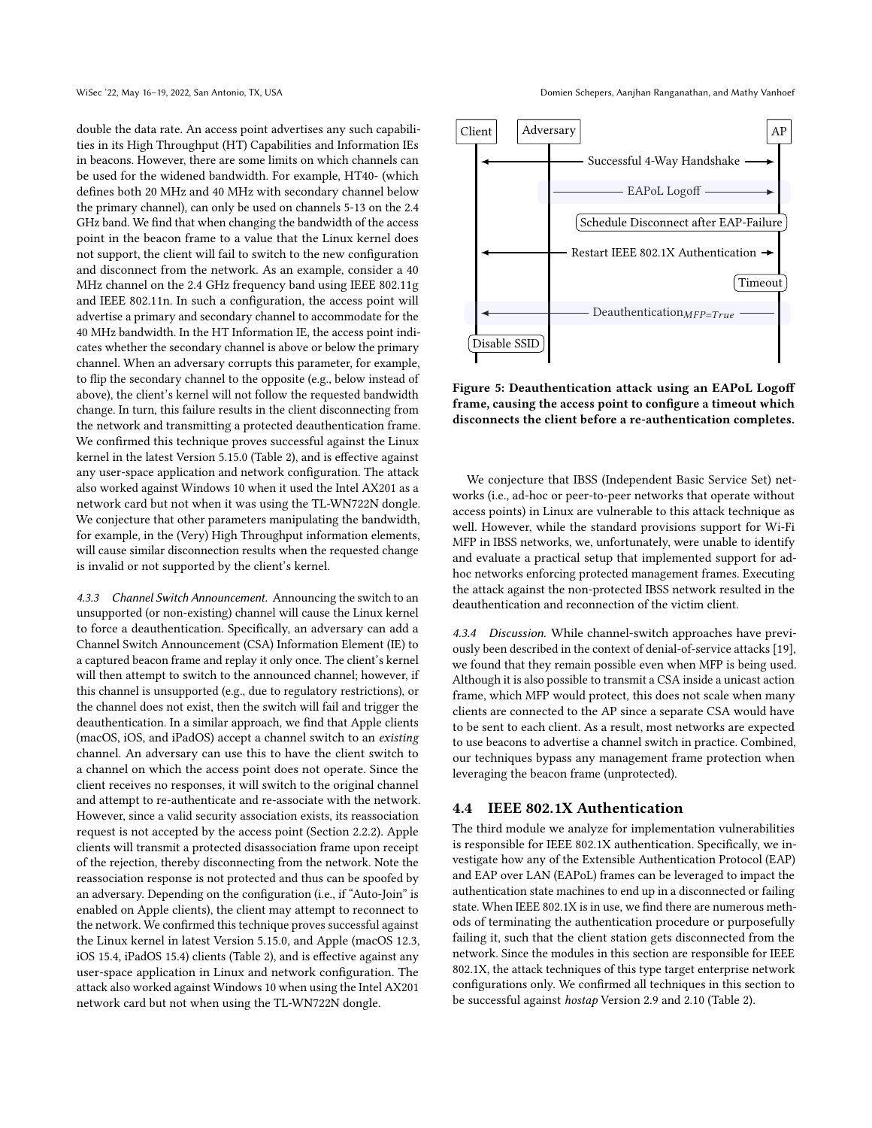double the data rate. An access point advertises any such capabilities in its High Throughput (HT) Capabilities and Information IEs in beacons. However, there are some limits on which channels can be used for the widened bandwidth. For example, HT40- (which defines both 20 MHz and 40 MHz with secondary channel below the primary channel), can only be used on channels 5-13 on the 2.4 GHz band. We find that when changing the bandwidth of the access point in the beacon frame to a value that the Linux kernel does not support, the client will fail to switch to the new configuration and disconnect from the network. As an example, consider a 40 MHz channel on the 2.4 GHz frequency band using IEEE 802.11g and IEEE 802.11n. In such a configuration, the access point will advertise a primary and secondary channel to accommodate for the 40 MHz bandwidth. In the HT Information IE, the access point indicates whether the secondary channel is above or below the primary channel. When an adversary corrupts this parameter, for example, to flip the secondary channel to the opposite (e.g., below instead of above), the client's kernel will not follow the requested bandwidth change. In turn, this failure results in the client disconnecting from the network and transmitting a protected deauthentication frame. We confirmed this technique proves successful against the Linux kernel in the latest Version 5.15.0 (Table [2\)](#page-5-0), and is effective against any user-space application and network configuration. The attack also worked against Windows 10 when it used the Intel AX201 as a network card but not when it was using the TL-WN722N dongle. We conjecture that other parameters manipulating the bandwidth, for example, in the (Very) High Throughput information elements, will cause similar disconnection results when the requested change is invalid or not supported by the client's kernel.

4.3.3 Channel Switch Announcement. Announcing the switch to an unsupported (or non-existing) channel will cause the Linux kernel to force a deauthentication. Specifically, an adversary can add a Channel Switch Announcement (CSA) Information Element (IE) to a captured beacon frame and replay it only once. The client's kernel will then attempt to switch to the announced channel; however, if this channel is unsupported (e.g., due to regulatory restrictions), or the channel does not exist, then the switch will fail and trigger the deauthentication. In a similar approach, we find that Apple clients (macOS, iOS, and iPadOS) accept a channel switch to an existing channel. An adversary can use this to have the client switch to a channel on which the access point does not operate. Since the client receives no responses, it will switch to the original channel and attempt to re-authenticate and re-associate with the network. However, since a valid security association exists, its reassociation request is not accepted by the access point (Section [2.2.2\)](#page-1-1). Apple clients will transmit a protected disassociation frame upon receipt of the rejection, thereby disconnecting from the network. Note the reassociation response is not protected and thus can be spoofed by an adversary. Depending on the configuration (i.e., if "Auto-Join" is enabled on Apple clients), the client may attempt to reconnect to the network. We confirmed this technique proves successful against the Linux kernel in latest Version 5.15.0, and Apple (macOS 12.3, iOS 15.4, iPadOS 15.4) clients (Table [2\)](#page-5-0), and is effective against any user-space application in Linux and network configuration. The attack also worked against Windows 10 when using the Intel AX201 network card but not when using the TL-WN722N dongle.

WiSec '22, May 16-19, 2022, San Antonio, TX, USA Domien Schepers, Aanjhan Ranganathan, and Mathy Vanhoef

<span id="page-7-1"></span>

Figure 5: Deauthentication attack using an EAPoL Logoff frame, causing the access point to configure a timeout which disconnects the client before a re-authentication completes.

We conjecture that IBSS (Independent Basic Service Set) networks (i.e., ad-hoc or peer-to-peer networks that operate without access points) in Linux are vulnerable to this attack technique as well. However, while the standard provisions support for Wi-Fi MFP in IBSS networks, we, unfortunately, were unable to identify and evaluate a practical setup that implemented support for adhoc networks enforcing protected management frames. Executing the attack against the non-protected IBSS network resulted in the deauthentication and reconnection of the victim client.

4.3.4 Discussion. While channel-switch approaches have previously been described in the context of denial-of-service attacks [\[19\]](#page-10-22), we found that they remain possible even when MFP is being used. Although it is also possible to transmit a CSA inside a unicast action frame, which MFP would protect, this does not scale when many clients are connected to the AP since a separate CSA would have to be sent to each client. As a result, most networks are expected to use beacons to advertise a channel switch in practice. Combined, our techniques bypass any management frame protection when leveraging the beacon frame (unprotected).

#### <span id="page-7-0"></span>4.4 IEEE 802.1X Authentication

The third module we analyze for implementation vulnerabilities is responsible for IEEE 802.1X authentication. Specifically, we investigate how any of the Extensible Authentication Protocol (EAP) and EAP over LAN (EAPoL) frames can be leveraged to impact the authentication state machines to end up in a disconnected or failing state. When IEEE 802.1X is in use, we find there are numerous methods of terminating the authentication procedure or purposefully failing it, such that the client station gets disconnected from the network. Since the modules in this section are responsible for IEEE 802.1X, the attack techniques of this type target enterprise network configurations only. We confirmed all techniques in this section to be successful against hostap Version 2.9 and 2.10 (Table [2\)](#page-5-0).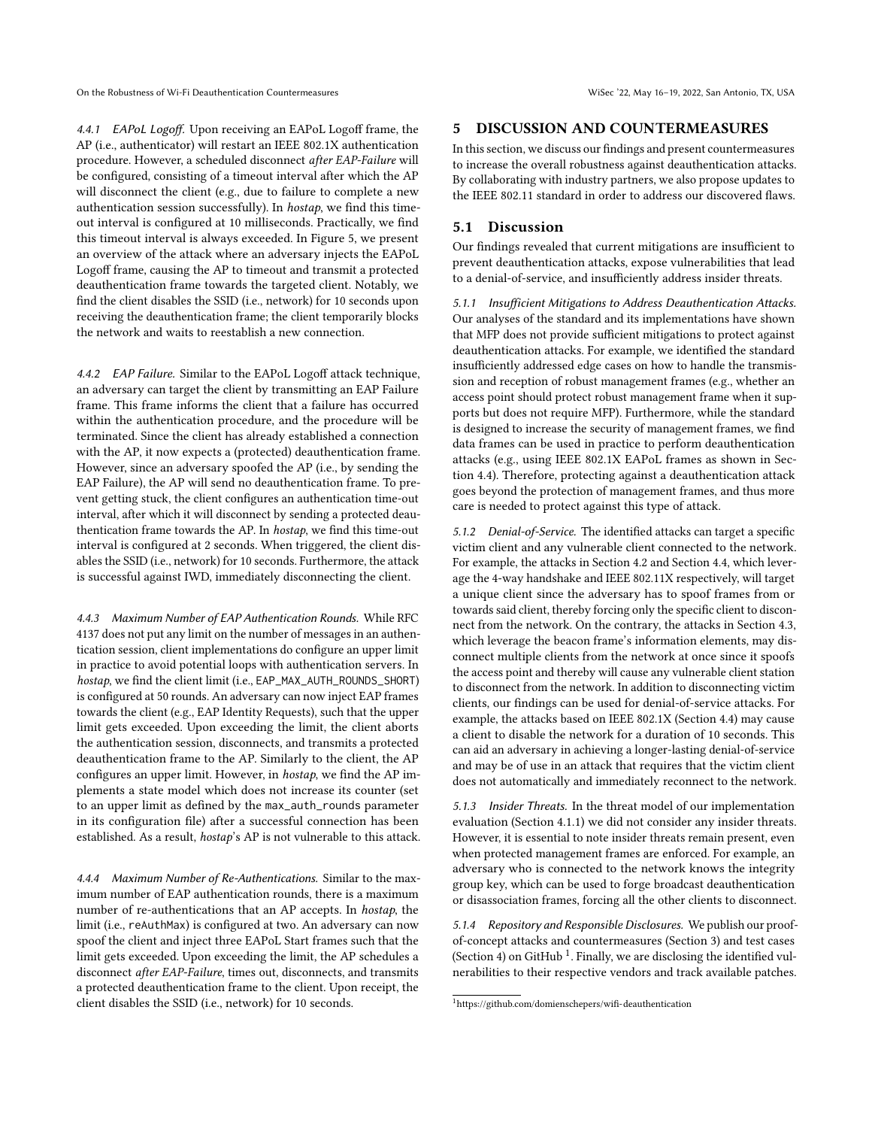On the Robustness of Wi-Fi Deauthentication Countermeasures Wisec '22, May 16–19, 2022, San Antonio, TX, USA

4.4.1 EAPoL Logoff. Upon receiving an EAPoL Logoff frame, the AP (i.e., authenticator) will restart an IEEE 802.1X authentication procedure. However, a scheduled disconnect after EAP-Failure will be configured, consisting of a timeout interval after which the AP will disconnect the client (e.g., due to failure to complete a new authentication session successfully). In hostap, we find this timeout interval is configured at 10 milliseconds. Practically, we find this timeout interval is always exceeded. In Figure [5,](#page-7-1) we present an overview of the attack where an adversary injects the EAPoL Logoff frame, causing the AP to timeout and transmit a protected deauthentication frame towards the targeted client. Notably, we find the client disables the SSID (i.e., network) for 10 seconds upon receiving the deauthentication frame; the client temporarily blocks the network and waits to reestablish a new connection.

4.4.2 EAP Failure. Similar to the EAPoL Logoff attack technique, an adversary can target the client by transmitting an EAP Failure frame. This frame informs the client that a failure has occurred within the authentication procedure, and the procedure will be terminated. Since the client has already established a connection with the AP, it now expects a (protected) deauthentication frame. However, since an adversary spoofed the AP (i.e., by sending the EAP Failure), the AP will send no deauthentication frame. To prevent getting stuck, the client configures an authentication time-out interval, after which it will disconnect by sending a protected deauthentication frame towards the AP. In hostap, we find this time-out interval is configured at 2 seconds. When triggered, the client disables the SSID (i.e., network) for 10 seconds. Furthermore, the attack is successful against IWD, immediately disconnecting the client.

4.4.3 Maximum Number of EAP Authentication Rounds. While RFC 4137 does not put any limit on the number of messages in an authentication session, client implementations do configure an upper limit in practice to avoid potential loops with authentication servers. In hostap, we find the client limit (i.e., EAP\_MAX\_AUTH\_ROUNDS\_SHORT) is configured at 50 rounds. An adversary can now inject EAP frames towards the client (e.g., EAP Identity Requests), such that the upper limit gets exceeded. Upon exceeding the limit, the client aborts the authentication session, disconnects, and transmits a protected deauthentication frame to the AP. Similarly to the client, the AP configures an upper limit. However, in hostap, we find the AP implements a state model which does not increase its counter (set to an upper limit as defined by the max\_auth\_rounds parameter in its configuration file) after a successful connection has been established. As a result, hostap's AP is not vulnerable to this attack.

4.4.4 Maximum Number of Re-Authentications. Similar to the maximum number of EAP authentication rounds, there is a maximum number of re-authentications that an AP accepts. In hostap, the limit (i.e., reAuthMax) is configured at two. An adversary can now spoof the client and inject three EAPoL Start frames such that the limit gets exceeded. Upon exceeding the limit, the AP schedules a disconnect after EAP-Failure, times out, disconnects, and transmits a protected deauthentication frame to the client. Upon receipt, the client disables the SSID (i.e., network) for 10 seconds.

#### 5 DISCUSSION AND COUNTERMEASURES

In this section, we discuss our findings and present countermeasures to increase the overall robustness against deauthentication attacks. By collaborating with industry partners, we also propose updates to the IEEE 802.11 standard in order to address our discovered flaws.

## 5.1 Discussion

Our findings revealed that current mitigations are insufficient to prevent deauthentication attacks, expose vulnerabilities that lead to a denial-of-service, and insufficiently address insider threats.

5.1.1 Insufficient Mitigations to Address Deauthentication Attacks. Our analyses of the standard and its implementations have shown that MFP does not provide sufficient mitigations to protect against deauthentication attacks. For example, we identified the standard insufficiently addressed edge cases on how to handle the transmission and reception of robust management frames (e.g., whether an access point should protect robust management frame when it supports but does not require MFP). Furthermore, while the standard is designed to increase the security of management frames, we find data frames can be used in practice to perform deauthentication attacks (e.g., using IEEE 802.1X EAPoL frames as shown in Section [4.4\)](#page-7-0). Therefore, protecting against a deauthentication attack goes beyond the protection of management frames, and thus more care is needed to protect against this type of attack.

5.1.2 Denial-of-Service. The identified attacks can target a specific victim client and any vulnerable client connected to the network. For example, the attacks in Section [4.2](#page-5-1) and Section [4.4,](#page-7-0) which leverage the 4-way handshake and IEEE 802.11X respectively, will target a unique client since the adversary has to spoof frames from or towards said client, thereby forcing only the specific client to disconnect from the network. On the contrary, the attacks in Section [4.3,](#page-6-0) which leverage the beacon frame's information elements, may disconnect multiple clients from the network at once since it spoofs the access point and thereby will cause any vulnerable client station to disconnect from the network. In addition to disconnecting victim clients, our findings can be used for denial-of-service attacks. For example, the attacks based on IEEE 802.1X (Section [4.4\)](#page-7-0) may cause a client to disable the network for a duration of 10 seconds. This can aid an adversary in achieving a longer-lasting denial-of-service and may be of use in an attack that requires that the victim client does not automatically and immediately reconnect to the network.

<span id="page-8-1"></span>5.1.3 Insider Threats. In the threat model of our implementation evaluation (Section [4.1.1\)](#page-4-0) we did not consider any insider threats. However, it is essential to note insider threats remain present, even when protected management frames are enforced. For example, an adversary who is connected to the network knows the integrity group key, which can be used to forge broadcast deauthentication or disassociation frames, forcing all the other clients to disconnect.

<span id="page-8-0"></span>5.1.4 Repository and Responsible Disclosures. We publish our proofof-concept attacks and countermeasures (Section [3\)](#page-2-1) and test cases (Section [4\)](#page-4-1) on GitHub<sup>[1](#page-8-2)</sup>. Finally, we are disclosing the identified vulnerabilities to their respective vendors and track available patches.

<span id="page-8-2"></span><sup>1</sup><https://github.com/domienschepers/wifi-deauthentication>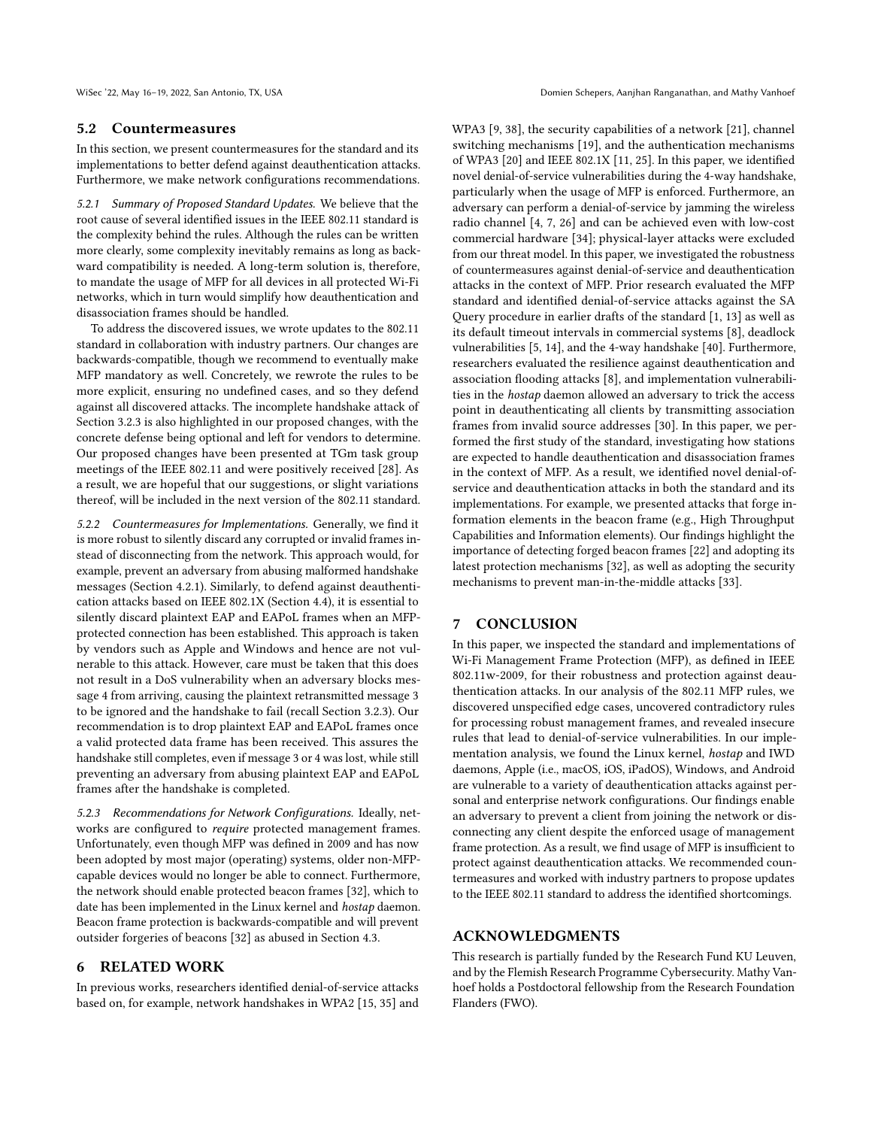#### <span id="page-9-0"></span>5.2 Countermeasures

In this section, we present countermeasures for the standard and its implementations to better defend against deauthentication attacks. Furthermore, we make network configurations recommendations.

5.2.1 Summary of Proposed Standard Updates. We believe that the root cause of several identified issues in the IEEE 802.11 standard is the complexity behind the rules. Although the rules can be written more clearly, some complexity inevitably remains as long as backward compatibility is needed. A long-term solution is, therefore, to mandate the usage of MFP for all devices in all protected Wi-Fi networks, which in turn would simplify how deauthentication and disassociation frames should be handled.

To address the discovered issues, we wrote updates to the 802.11 standard in collaboration with industry partners. Our changes are backwards-compatible, though we recommend to eventually make MFP mandatory as well. Concretely, we rewrote the rules to be more explicit, ensuring no undefined cases, and so they defend against all discovered attacks. The incomplete handshake attack of Section [3.2.3](#page-3-2) is also highlighted in our proposed changes, with the concrete defense being optional and left for vendors to determine. Our proposed changes have been presented at TGm task group meetings of the IEEE 802.11 and were positively received [\[28\]](#page-10-23). As a result, we are hopeful that our suggestions, or slight variations thereof, will be included in the next version of the 802.11 standard.

5.2.2 Countermeasures for Implementations. Generally, we find it is more robust to silently discard any corrupted or invalid frames instead of disconnecting from the network. This approach would, for example, prevent an adversary from abusing malformed handshake messages (Section [4.2.1\)](#page-5-3). Similarly, to defend against deauthentication attacks based on IEEE 802.1X (Section [4.4\)](#page-7-0), it is essential to silently discard plaintext EAP and EAPoL frames when an MFPprotected connection has been established. This approach is taken by vendors such as Apple and Windows and hence are not vulnerable to this attack. However, care must be taken that this does not result in a DoS vulnerability when an adversary blocks message 4 from arriving, causing the plaintext retransmitted message 3 to be ignored and the handshake to fail (recall Section [3.2.3\)](#page-3-2). Our recommendation is to drop plaintext EAP and EAPoL frames once a valid protected data frame has been received. This assures the handshake still completes, even if message 3 or 4 was lost, while still preventing an adversary from abusing plaintext EAP and EAPoL frames after the handshake is completed.

5.2.3 Recommendations for Network Configurations. Ideally, networks are configured to require protected management frames. Unfortunately, even though MFP was defined in 2009 and has now been adopted by most major (operating) systems, older non-MFPcapable devices would no longer be able to connect. Furthermore, the network should enable protected beacon frames [\[32\]](#page-10-15), which to date has been implemented in the Linux kernel and hostap daemon. Beacon frame protection is backwards-compatible and will prevent outsider forgeries of beacons [\[32\]](#page-10-15) as abused in Section [4.3.](#page-6-0)

## 6 RELATED WORK

In previous works, researchers identified denial-of-service attacks based on, for example, network handshakes in WPA2 [\[15,](#page-10-24) [35\]](#page-10-25) and WPA3 [\[9,](#page-10-26) [38\]](#page-10-27), the security capabilities of a network [\[21\]](#page-10-28), channel switching mechanisms [\[19\]](#page-10-22), and the authentication mechanisms of WPA3 [\[20\]](#page-10-29) and IEEE 802.1X [\[11,](#page-10-30) [25\]](#page-10-31). In this paper, we identified novel denial-of-service vulnerabilities during the 4-way handshake, particularly when the usage of MFP is enforced. Furthermore, an adversary can perform a denial-of-service by jamming the wireless radio channel [\[4,](#page-10-32) [7,](#page-10-4) [26\]](#page-10-33) and can be achieved even with low-cost commercial hardware [\[34\]](#page-10-34); physical-layer attacks were excluded from our threat model. In this paper, we investigated the robustness of countermeasures against denial-of-service and deauthentication attacks in the context of MFP. Prior research evaluated the MFP standard and identified denial-of-service attacks against the SA Query procedure in earlier drafts of the standard [\[1,](#page-10-35) [13\]](#page-10-36) as well as its default timeout intervals in commercial systems [\[8\]](#page-10-37), deadlock vulnerabilities [\[5,](#page-10-38) [14\]](#page-10-39), and the 4-way handshake [\[40\]](#page-10-40). Furthermore, researchers evaluated the resilience against deauthentication and association flooding attacks [\[8\]](#page-10-37), and implementation vulnerabilities in the hostap daemon allowed an adversary to trick the access point in deauthenticating all clients by transmitting association frames from invalid source addresses [\[30\]](#page-10-21). In this paper, we performed the first study of the standard, investigating how stations are expected to handle deauthentication and disassociation frames in the context of MFP. As a result, we identified novel denial-ofservice and deauthentication attacks in both the standard and its implementations. For example, we presented attacks that forge information elements in the beacon frame (e.g., High Throughput Capabilities and Information elements). Our findings highlight the importance of detecting forged beacon frames [\[22\]](#page-10-41) and adopting its latest protection mechanisms [\[32\]](#page-10-15), as well as adopting the security mechanisms to prevent man-in-the-middle attacks [\[33\]](#page-10-42).

#### 7 CONCLUSION

In this paper, we inspected the standard and implementations of Wi-Fi Management Frame Protection (MFP), as defined in IEEE 802.11w-2009, for their robustness and protection against deauthentication attacks. In our analysis of the 802.11 MFP rules, we discovered unspecified edge cases, uncovered contradictory rules for processing robust management frames, and revealed insecure rules that lead to denial-of-service vulnerabilities. In our implementation analysis, we found the Linux kernel, hostap and IWD daemons, Apple (i.e., macOS, iOS, iPadOS), Windows, and Android are vulnerable to a variety of deauthentication attacks against personal and enterprise network configurations. Our findings enable an adversary to prevent a client from joining the network or disconnecting any client despite the enforced usage of management frame protection. As a result, we find usage of MFP is insufficient to protect against deauthentication attacks. We recommended countermeasures and worked with industry partners to propose updates to the IEEE 802.11 standard to address the identified shortcomings.

## ACKNOWLEDGMENTS

This research is partially funded by the Research Fund KU Leuven, and by the Flemish Research Programme Cybersecurity. Mathy Vanhoef holds a Postdoctoral fellowship from the Research Foundation Flanders (FWO).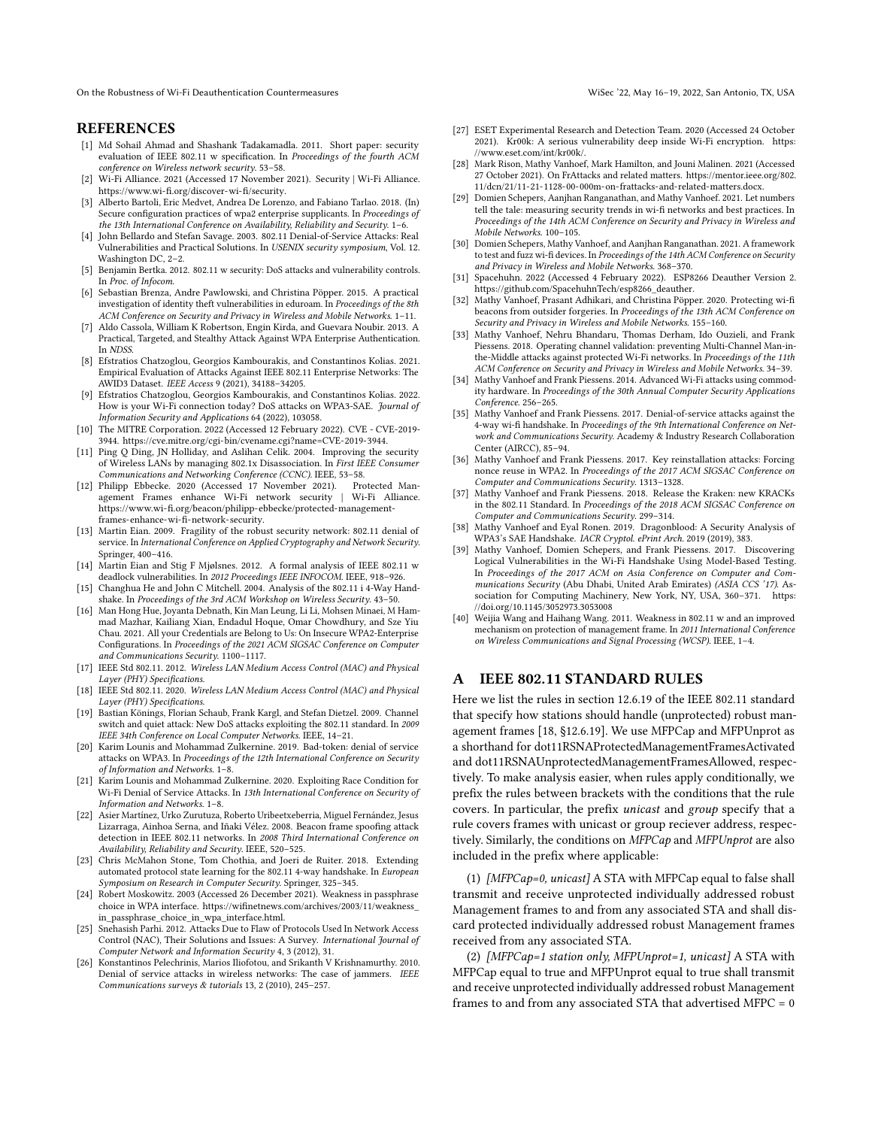On the Robustness of Wi-Fi Deauthentication Countermeasures Wisec '22, May 16–19, 2022, San Antonio, TX, USA

#### **REFERENCES**

- <span id="page-10-35"></span>[1] Md Sohail Ahmad and Shashank Tadakamadla. 2011. Short paper: security evaluation of IEEE 802.11 w specification. In Proceedings of the fourth ACM conference on Wireless network security. 53–58.
- <span id="page-10-12"></span>[2] Wi-Fi Alliance. 2021 (Accessed 17 November 2021). Security | Wi-Fi Alliance. [https://www.wi-fi.org/discover-wi-fi/security.](https://www.wi-fi.org/discover-wi-fi/security)
- <span id="page-10-2"></span>[3] Alberto Bartoli, Eric Medvet, Andrea De Lorenzo, and Fabiano Tarlao. 2018. (In) Secure configuration practices of wpa2 enterprise supplicants. In Proceedings of the 13th International Conference on Availability, Reliability and Security. 1–6.
- <span id="page-10-32"></span>[4] John Bellardo and Stefan Savage. 2003. 802.11 Denial-of-Service Attacks: Real Vulnerabilities and Practical Solutions. In USENIX security symposium, Vol. 12. Washington DC, 2–2.
- <span id="page-10-38"></span>[5] Benjamin Bertka. 2012. 802.11 w security: DoS attacks and vulnerability controls. In Proc. of Infocom.
- <span id="page-10-3"></span>[6] Sebastian Brenza, Andre Pawlowski, and Christina Pöpper. 2015. A practical investigation of identity theft vulnerabilities in eduroam. In Proceedings of the 8th ACM Conference on Security and Privacy in Wireless and Mobile Networks. 1–11.
- <span id="page-10-4"></span>[7] Aldo Cassola, William K Robertson, Engin Kirda, and Guevara Noubir. 2013. A Practical, Targeted, and Stealthy Attack Against WPA Enterprise Authentication. In NDSS.
- <span id="page-10-37"></span>[8] Efstratios Chatzoglou, Georgios Kambourakis, and Constantinos Kolias. 2021. Empirical Evaluation of Attacks Against IEEE 802.11 Enterprise Networks: The AWID3 Dataset. IEEE Access 9 (2021), 34188–34205.
- <span id="page-10-26"></span>[9] Efstratios Chatzoglou, Georgios Kambourakis, and Constantinos Kolias. 2022. How is your Wi-Fi connection today? DoS attacks on WPA3-SAE. Journal of Information Security and Applications 64 (2022), 103058.
- <span id="page-10-0"></span>[10] The MITRE Corporation. 2022 (Accessed 12 February 2022). CVE - CVE-2019- 3944. [https://cve.mitre.org/cgi-bin/cvename.cgi?name=CVE-2019-3944.](https://cve.mitre.org/cgi-bin/cvename.cgi?name=CVE-2019-3944)
- <span id="page-10-30"></span>[11] Ping O Ding, JN Holliday, and Aslihan Celik. 2004. Improving the security of Wireless LANs by managing 802.1x Disassociation. In First IEEE Consumer Communications and Networking Conference (CCNC). IEEE, 53–58.
- <span id="page-10-13"></span>[12] Philipp Ebbecke. 2020 (Accessed 17 November 2021). Protected Management Frames enhance Wi-Fi network security | Wi-Fi Alliance. [https://www.wi-fi.org/beacon/philipp-ebbecke/protected-management](https://www.wi-fi.org/beacon/philipp-ebbecke/protected-management-frames-enhance-wi-fi-network-security)[frames-enhance-wi-fi-network-security.](https://www.wi-fi.org/beacon/philipp-ebbecke/protected-management-frames-enhance-wi-fi-network-security)
- <span id="page-10-36"></span>[13] Martin Eian. 2009. Fragility of the robust security network: 802.11 denial of service. In International Conference on Applied Cryptography and Network Security. Springer, 400–416.
- <span id="page-10-39"></span>[14] Martin Eian and Stig F Miølsnes. 2012. A formal analysis of IEEE 802.11 w deadlock vulnerabilities. In 2012 Proceedings IEEE INFOCOM. IEEE, 918–926.
- <span id="page-10-24"></span>[15] Changhua He and John C Mitchell. 2004. Analysis of the 802.11 i 4-Way Handshake. In Proceedings of the 3rd ACM Workshop on Wireless Security. 43–50.
- <span id="page-10-5"></span>[16] Man Hong Hue, Joyanta Debnath, Kin Man Leung, Li Li, Mohsen Minaei, M Hammad Mazhar, Kailiang Xian, Endadul Hoque, Omar Chowdhury, and Sze Yiu Chau. 2021. All your Credentials are Belong to Us: On Insecure WPA2-Enterprise Configurations. In Proceedings of the 2021 ACM SIGSAC Conference on Computer and Communications Security. 1100–1117.
- <span id="page-10-16"></span>[17] IEEE Std 802.11. 2012. Wireless LAN Medium Access Control (MAC) and Physical Layer (PHY) Specifications.
- <span id="page-10-17"></span>[18] IEEE Std 802.11. 2020. Wireless LAN Medium Access Control (MAC) and Physical Layer (PHY) Specifications.
- <span id="page-10-22"></span>[19] Bastian Könings, Florian Schaub, Frank Kargl, and Stefan Dietzel. 2009. Channel switch and quiet attack: New DoS attacks exploiting the 802.11 standard. In 2009 IEEE 34th Conference on Local Computer Networks. IEEE, 14–21.
- <span id="page-10-29"></span>[20] Karim Lounis and Mohammad Zulkernine. 2019. Bad-token: denial of service attacks on WPA3. In Proceedings of the 12th International Conference on Security of Information and Networks. 1–8.
- <span id="page-10-28"></span>[21] Karim Lounis and Mohammad Zulkernine. 2020. Exploiting Race Condition for Wi-Fi Denial of Service Attacks. In 13th International Conference on Security of Information and Networks. 1–8.
- <span id="page-10-41"></span>[22] Asier Martínez, Urko Zurutuza, Roberto Uribeetxeberria, Miguel Fernández, Jesus Lizarraga, Ainhoa Serna, and Iñaki Vélez. 2008. Beacon frame spoofing attack detection in IEEE 802.11 networks. In 2008 Third International Conference on Availability, Reliability and Security. IEEE, 520–525.
- <span id="page-10-6"></span>[23] Chris McMahon Stone, Tom Chothia, and Joeri de Ruiter. 2018. Extending automated protocol state learning for the 802.11 4-way handshake. In European Symposium on Research in Computer Security. Springer, 325–345.
- <span id="page-10-7"></span>[24] Robert Moskowitz. 2003 (Accessed 26 December 2021). Weakness in passphrase choice in WPA interface. [https://wifinetnews.com/archives/2003/11/weakness\\_](https://wifinetnews.com/archives/2003/11/weakness_in_passphrase_choice_in_wpa_interface.html) [in\\_passphrase\\_choice\\_in\\_wpa\\_interface.html.](https://wifinetnews.com/archives/2003/11/weakness_in_passphrase_choice_in_wpa_interface.html)
- <span id="page-10-31"></span>[25] Snehasish Parhi. 2012. Attacks Due to Flaw of Protocols Used In Network Access Control (NAC), Their Solutions and Issues: A Survey. International Journal of Computer Network and Information Security 4, 3 (2012), 31.
- <span id="page-10-33"></span>[26] Konstantinos Pelechrinis, Marios Iliofotou, and Srikanth V Krishnamurthy. 2010. Denial of service attacks in wireless networks: The case of jammers. IEEE Communications surveys & tutorials 13, 2 (2010), 245–257.
- <span id="page-10-11"></span>[27] ESET Experimental Research and Detection Team. 2020 (Accessed 24 October 2021). Kr00k: A serious vulnerability deep inside Wi-Fi encryption. [https:](https://www.eset.com/int/kr00k/) [//www.eset.com/int/kr00k/.](https://www.eset.com/int/kr00k/)
- <span id="page-10-23"></span>[28] Mark Rison, Mathy Vanhoef, Mark Hamilton, and Jouni Malinen. 2021 (Accessed 27 October 2021). On FrAttacks and related matters. [https://mentor.ieee.org/802.](https://mentor.ieee.org/802.11/dcn/21/11-21-1128-00-000m-on-frattacks-and-related-matters.docx) [11/dcn/21/11-21-1128-00-000m-on-frattacks-and-related-matters.docx.](https://mentor.ieee.org/802.11/dcn/21/11-21-1128-00-000m-on-frattacks-and-related-matters.docx)
- <span id="page-10-14"></span>[29] Domien Schepers, Aanjhan Ranganathan, and Mathy Vanhoef. 2021. Let numbers tell the tale: measuring security trends in wi-fi networks and best practices. In Proceedings of the 14th ACM Conference on Security and Privacy in Wireless and Mobile Networks. 100–105.
- <span id="page-10-21"></span>[30] Domien Schepers, Mathy Vanhoef, and Aanjhan Ranganathan. 2021. A framework to test and fuzz wi-fi devices. In Proceedings of the 14th ACM Conference on Security and Privacy in Wireless and Mobile Networks. 368–370.
- <span id="page-10-1"></span>[31] Spacehuhn. 2022 (Accessed 4 February 2022). ESP8266 Deauther Version 2. [https://github.com/SpacehuhnTech/esp8266\\_deauther.](https://github.com/SpacehuhnTech/esp8266_deauther)
- <span id="page-10-15"></span>[32] Mathy Vanhoef, Prasant Adhikari, and Christina Pöpper. 2020. Protecting wi-fi beacons from outsider forgeries. In Proceedings of the 13th ACM Conference on Security and Privacy in Wireless and Mobile Networks. 155–160.
- <span id="page-10-42"></span>[33] Mathy Vanhoef, Nehru Bhandaru, Thomas Derham, Ido Ouzieli, and Frank Piessens. 2018. Operating channel validation: preventing Multi-Channel Man-inthe-Middle attacks against protected Wi-Fi networks. In Proceedings of the 11th ACM Conference on Security and Privacy in Wireless and Mobile Networks. 34–39.
- <span id="page-10-34"></span>[34] Mathy Vanhoef and Frank Piessens. 2014. Advanced Wi-Fi attacks using commodity hardware. In Proceedings of the 30th Annual Computer Security Applications Conference. 256–265.
- <span id="page-10-25"></span>[35] Mathy Vanhoef and Frank Piessens. 2017. Denial-of-service attacks against the 4-way wi-fi handshake. In Proceedings of the 9th International Conference on Network and Communications Security. Academy & Industry Research Collaboration Center (AIRCC), 85–94.
- <span id="page-10-9"></span>[36] Mathy Vanhoef and Frank Piessens. 2017. Key reinstallation attacks: Forcing nonce reuse in WPA2. In Proceedings of the 2017 ACM SIGSAC Conference on Computer and Communications Security. 1313–1328.
- <span id="page-10-10"></span>[37] Mathy Vanhoef and Frank Piessens. 2018. Release the Kraken: new KRACKs in the 802.11 Standard. In Proceedings of the 2018 ACM SIGSAC Conference on Computer and Communications Security. 299–314.
- <span id="page-10-27"></span>[38] Mathy Vanhoef and Eyal Ronen. 2019. Dragonblood: A Security Analysis of WPA3's SAE Handshake. IACR Cryptol. ePrint Arch. 2019 (2019), 383.
- <span id="page-10-8"></span>[39] Mathy Vanhoef, Domien Schepers, and Frank Piessens. 2017. Discovering Logical Vulnerabilities in the Wi-Fi Handshake Using Model-Based Testing. In Proceedings of the 2017 ACM on Asia Conference on Computer and Communications Security (Abu Dhabi, United Arab Emirates) (ASIA CCS '17). Association for Computing Machinery, New York, NY, USA, 360–371. [https:](https://doi.org/10.1145/3052973.3053008) [//doi.org/10.1145/3052973.3053008](https://doi.org/10.1145/3052973.3053008)
- <span id="page-10-40"></span>[40] Weijia Wang and Haihang Wang. 2011. Weakness in 802.11 w and an improved mechanism on protection of management frame. In 2011 International Conference on Wireless Communications and Signal Processing (WCSP). IEEE, 1–4.

## <span id="page-10-18"></span>A IEEE 802.11 STANDARD RULES

Here we list the rules in section 12.6.19 of the IEEE 802.11 standard that specify how stations should handle (unprotected) robust management frames [\[18,](#page-10-17) §12.6.19]. We use MFPCap and MFPUnprot as a shorthand for dot11RSNAProtectedManagementFramesActivated and dot11RSNAUnprotectedManagementFramesAllowed, respectively. To make analysis easier, when rules apply conditionally, we prefix the rules between brackets with the conditions that the rule covers. In particular, the prefix unicast and group specify that a rule covers frames with unicast or group reciever address, respectively. Similarly, the conditions on MFPCap and MFPUnprot are also included in the prefix where applicable:

<span id="page-10-20"></span>(1) [MFPCap=0, unicast] A STA with MFPCap equal to false shall transmit and receive unprotected individually addressed robust Management frames to and from any associated STA and shall discard protected individually addressed robust Management frames received from any associated STA.

<span id="page-10-19"></span>(2) [MFPCap=1 station only, MFPUnprot=1, unicast] A STA with MFPCap equal to true and MFPUnprot equal to true shall transmit and receive unprotected individually addressed robust Management frames to and from any associated STA that advertised MFPC = 0